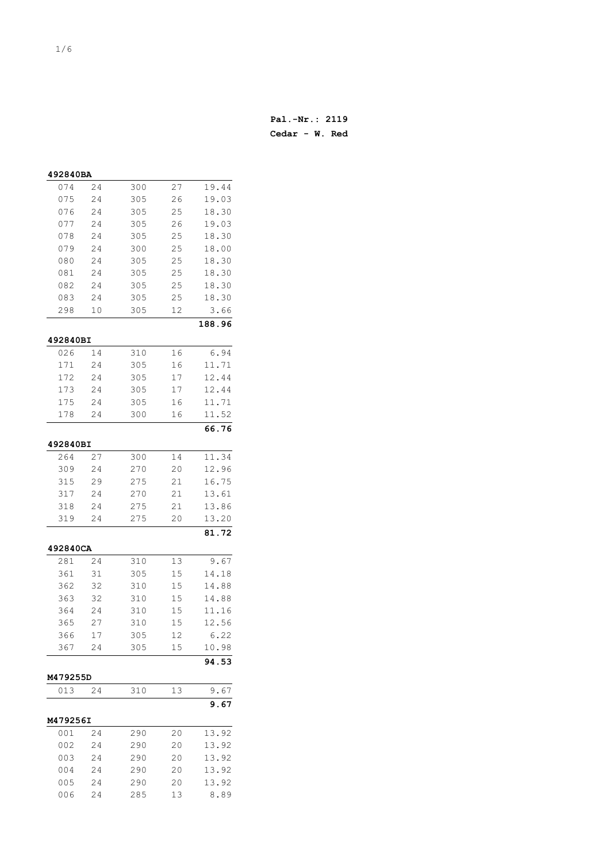| 492840BA   |    |     |    |        |
|------------|----|-----|----|--------|
| 074        | 24 | 300 | 27 | 19.44  |
| 075        | 24 | 305 | 26 | 19.03  |
| 076        | 24 | 305 | 25 | 18.30  |
| 077        | 24 | 305 | 26 | 19.03  |
| 078        | 24 | 305 | 25 | 18.30  |
| 079        | 24 | 300 | 25 | 18.00  |
| 080        | 24 | 305 | 25 | 18.30  |
| 081        | 24 | 305 | 25 | 18.30  |
| 082        | 24 | 305 | 25 | 18.30  |
| 083        | 24 | 305 | 25 | 18.30  |
| 298        | 10 | 305 | 12 | 3.66   |
|            |    |     |    | 188.96 |
| 492840BI   |    |     |    |        |
| 026        | 14 | 310 | 16 | 6.94   |
| 171        | 24 | 305 | 16 | 11.71  |
| 172        | 24 | 305 | 17 | 12.44  |
| 173        | 24 | 305 | 17 | 12.44  |
| 175        | 24 | 305 | 16 | 11.71  |
| 178        | 24 | 300 | 16 | 11.52  |
|            |    |     |    | 66.76  |
| 492840BI   |    |     |    |        |
| 264        | 27 | 300 | 14 | 11.34  |
| 309        | 24 | 270 | 20 | 12.96  |
|            | 29 | 275 | 21 | 16.75  |
| 315<br>317 | 24 | 270 | 21 | 13.61  |
| 318        | 24 | 275 | 21 | 13.86  |
| 319        | 24 | 275 | 20 | 13.20  |
|            |    |     |    | 81.72  |
|            |    |     |    |        |
| 492840CA   |    |     |    |        |
| 281        | 24 | 310 | 13 | 9.67   |
| 361        | 31 | 305 | 15 | 14.18  |
| 362        | 32 | 310 | 15 | 14.88  |
| 363        | 32 | 310 | 15 | 14.88  |
| 364        | 24 | 310 | 15 | 11.16  |
| 365        | 27 | 310 | 15 | 12.56  |
| 366        | 17 | 305 | 12 | 6.22   |
| 367        | 24 | 305 | 15 | 10.98  |
|            |    |     |    | 94.53  |
| M479255D   |    |     |    |        |
| 013        | 24 | 310 | 13 | 9.67   |
|            |    |     |    | 9.67   |
| M479256I   |    |     |    |        |
| 001        | 24 | 290 | 20 | 13.92  |
| 002        | 24 | 290 | 20 | 13.92  |
| 003        | 24 | 290 | 20 | 13.92  |
| 004        | 24 | 290 | 20 | 13.92  |
| 005        | 24 | 290 | 20 | 13.92  |
| 006        | 24 | 285 | 13 | 8.89   |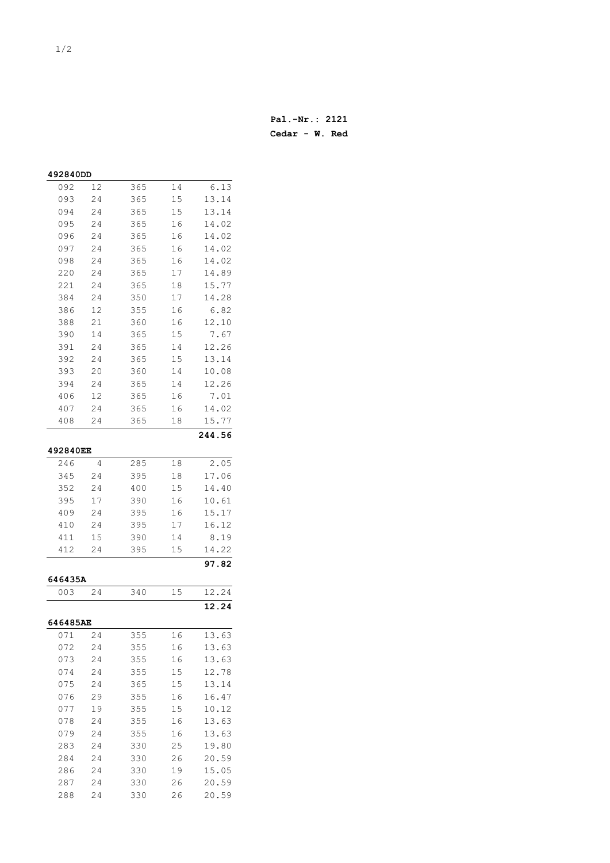| 492840DD        |    |     |          |               |
|-----------------|----|-----|----------|---------------|
| 092             | 12 | 365 | 14       | 6.13          |
| 093             | 24 | 365 | 15       | 13.14         |
| 094             | 24 | 365 | 15       | 13.14         |
| 095             | 24 | 365 | 16       | 14.02         |
| 096             | 24 | 365 | 16       | 14.02         |
| 097             | 24 | 365 | 16       | 14.02         |
| 098             | 24 | 365 | 16       | 14.02         |
| 220             | 24 | 365 | 17       | 14.89         |
| 221             | 24 | 365 | 18       | 15.77         |
| 384             | 24 | 350 | 17       | 14.28         |
| 386             | 12 | 355 | 16       | 6.82          |
| 388             | 21 | 360 | 16       | 12.10         |
| 390             | 14 | 365 | 15       | 7.67          |
| 391             | 24 | 365 | 14       | 12.26         |
| 392             | 24 | 365 | 15       | 13.14         |
| 393             | 20 | 360 | 14       | 10.08         |
| 394             | 24 | 365 | 14       | 12.26         |
|                 | 12 | 365 |          |               |
| 406             |    | 365 | 16<br>16 | 7.01<br>14.02 |
| 407<br>408      | 24 | 365 |          |               |
|                 | 24 |     | 18       | 15.77         |
|                 |    |     |          | 244.56        |
| <b>492840EE</b> |    |     |          |               |
| 246             | 4  | 285 | 18       | 2.05          |
| 345             | 24 | 395 | 18       | 17.06         |
| 352             | 24 | 400 | 15       | 14.40         |
| 395             | 17 | 390 | 16       | 10.61         |
| 409             | 24 | 395 | 16       | 15.17         |
| 410             | 24 | 395 | 17       | 16.12         |
| 411             | 15 | 390 | 14       | 8.19          |
| 412             | 24 | 395 | 15       | 14.22         |
|                 |    |     |          | 97.82         |
| 646435A         |    |     |          |               |
| 003             | 24 | 340 | 15       | 12.24         |
|                 |    |     |          | 12.24         |
|                 |    |     |          |               |
| 646485AE        |    |     |          |               |
| 071             | 24 | 355 | 16       | 13.63         |
| 072             | 24 | 355 | 16       | 13.63         |
| 073             | 24 | 355 | 16       | 13.63         |
| 074             | 24 | 355 | 15       | 12.78         |
| 075             | 24 | 365 | 15       | 13.14         |
| 076             | 29 | 355 | 16       | 16.47         |
| 077             | 19 | 355 | 15       | 10.12         |
| 078             | 24 | 355 | 16       | 13.63         |
| 079             | 24 | 355 | 16       | 13.63         |
| 283             | 24 | 330 | 25       | 19.80         |
| 284             | 24 | 330 | 26       | 20.59         |
| 286             | 24 | 330 | 19       | 15.05         |
| 287             | 24 | 330 | 26       | 20.59         |

24 330 26 20.59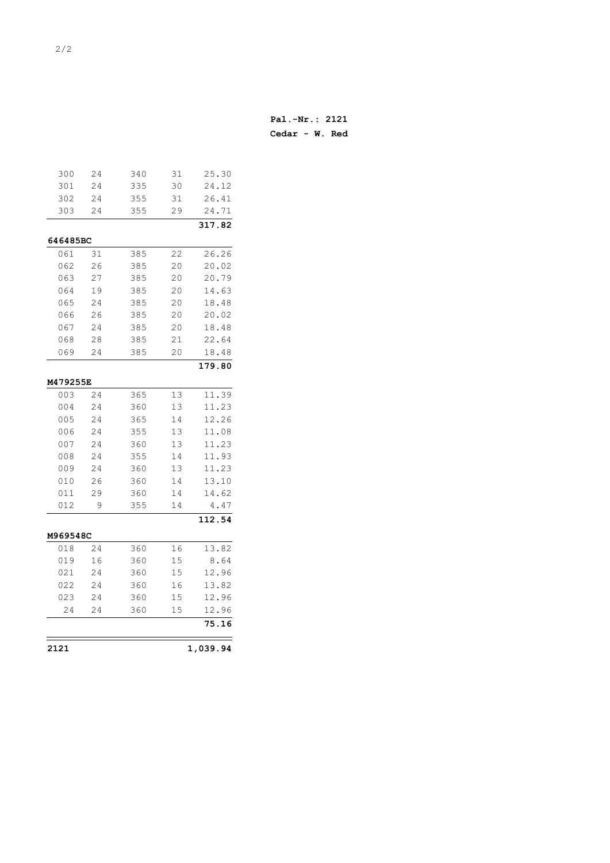| 2121       |          |            |          | 1,039.94       |
|------------|----------|------------|----------|----------------|
|            |          |            |          | 75.16          |
| 24         | 24       | 360        | 15       | 12.96          |
| 023        | 24       | 360        | 15       | 12.96          |
| 022        | 24       | 360        | 16       | 13.82          |
| 021        | 24       | 360        | 15       | 12.96          |
| 019        | 16       | 360        | 15       | 8.64           |
| 018        | 24       | 360        | 16       | 13.82          |
| M969548C   |          |            |          |                |
|            |          |            |          | 112.54         |
| 012        | 9        | 355        | 14       | 4.47           |
| 011        | 29       | 360        | 14       | 14.62          |
| 010        | 26       | 360        | 14       | 13.10          |
| 009        | 24       | 360        | 13       | 11.23          |
| 008        | 24       | 355        | 14       | 11.93          |
| 007        | 24       | 360        | 13       | 11.23          |
| 006        | 24       | 355        | 13       | 11.08          |
| 005        | 24       | 365        | 14       | 12.26          |
| 004        | 24       | 360        | 13       | 11.23          |
| 003        | 24       | 365        | 13       | 11.39          |
| M479255E   |          |            |          |                |
|            |          |            |          | 179.80         |
|            |          |            |          |                |
| 068<br>069 | 28<br>24 | 385<br>385 | 21<br>20 | 18.48          |
| 067        | 24       | 385        | 20       | 18.48<br>22.64 |
| 066        | 26       | 385        | 20       | 20.02          |
| 065        | 24       | 385        | 20       | 18.48          |
| 064        | 19       | 385        | 20       | 14.63          |
| 063        | 27       | 385        | 20       | 20.79          |
| 062        | 26       | 385        | 20       | 20.02          |
| 061        | 31       | 385        | 22       | 26.26          |
| 646485BC   |          |            |          |                |
|            |          |            |          | 317.82         |
| 303        | 24       | 355        | 29       | 24.71          |
| 302        | 24       | 355        | 31       | 26.41          |
| 301        | 24       | 335        | 30       | 24.12          |
| 300        | 24       | 340        | 31       | 25.30          |
|            |          |            |          |                |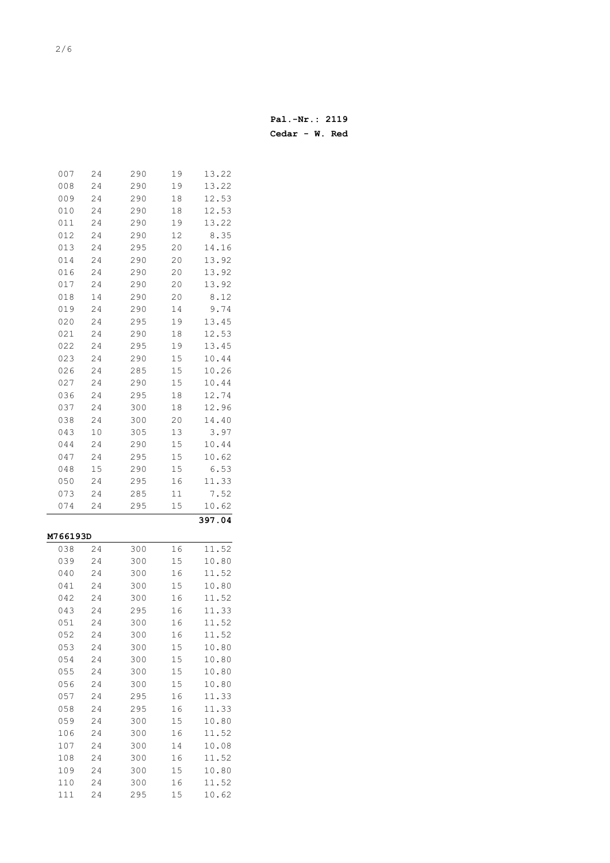| Pal.-Nr.: 2119   |  |  |
|------------------|--|--|
| $Cedar - W. Red$ |  |  |

| 007        | 24       | 290        | 19       | 13.22          |
|------------|----------|------------|----------|----------------|
| 008        | 24       | 290        | 19       | 13.22          |
| 009        | 24       | 290        | 18       | 12.53          |
| 010        | 24       | 290        | 18       | 12.53          |
| 011        | 24       | 290        | 19       | 13.22          |
| 012        | 24       | 290        | 12       | 8.35           |
| 013        | 24       | 295        | 20       | 14.16          |
| 014        | 24       | 290        | 20       | 13.92          |
| 016        | 24       | 290        | 20       | 13.92          |
| 017        | 24       | 290        | 20       | 13.92          |
| 018        | 14       | 290        | 20       | 8.12           |
| 019        | 24       | 290        | 14       | 9.74           |
| 020        | 24       | 295        | 19       | 13.45          |
| 021        | 24       | 290        | 18       | 12.53          |
| 022        | 24       | 295        | 19       | 13.45          |
| 023        | 24       | 290        | 15       | 10.44          |
| 026        | 24       | 285        | 15       | 10.26          |
| 027        | 24       | 290        | 15       | 10.44          |
| 036        | 24       | 295        | 18       | 12.74          |
| 037        | 24       | 300        | 18       | 12.96          |
| 038        | 24       | 300        | 20       | 14.40          |
| 043        | 10       | 305        | 13       | 3.97           |
| 044        | 24       | 290        | 15       | 10.44          |
| 047        | 24       | 295        | 15       | 10.62          |
| 048        | 15       | 290        | 15       | 6.53           |
| 050        | 24       | 295        | 16       | 11.33          |
|            |          |            |          |                |
|            |          |            |          |                |
| 073        | 24       | 285        | 11       | 7.52           |
| 074        | 24       | 295        | 15       | 10.62          |
|            |          |            |          | 397.04         |
| M766193D   |          |            |          |                |
| 038        | 24       | 300        | 16       | 11.52          |
| 039        | 24       | 300        | 15       | 10.80          |
| 040        | 24       | 300        | 16       | 11.52          |
| 041        | 24       | 300        | 15       | 10.80          |
| 042        | 24       | 300        | 16       | 11.52          |
| 043        | 24       | 295        | 16       | 11.33          |
| 051        | 24       | 300        | 16       | 11.52          |
| 052        | 24       | 300        | 16       | 11.52          |
| 053        | 24       | 300        | 15       | 10.80          |
| 054        | 24       | 300        | 15       | 10.80          |
| 055        | 24       | 300        | 15       | 10.80          |
| 056        | 24       | 300        | 15       | 10.80          |
| 057        | 24       | 295        | 16       | 11.33          |
| 058        | 24       | 295        | 16       | 11.33          |
| 059        | 24       | 300        | 15       | 10.80          |
| 106        | 24       | 300        | 16       | 11.52          |
| 107        | 24       | 300        | 14       | 10.08          |
| 108        | 24       | 300        | 16       | 11.52          |
| 109        | 24       | 300        | 15       | 10.80          |
| 110<br>111 | 24<br>24 | 300<br>295 | 16<br>15 | 11.52<br>10.62 |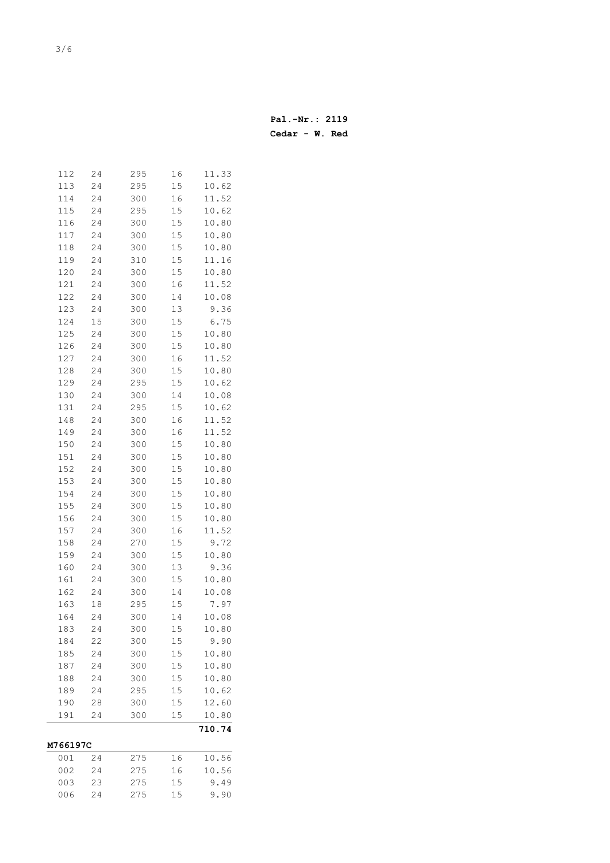| 112        | 24 | 295 | 16     | 11.33          |
|------------|----|-----|--------|----------------|
| 113        | 24 | 295 | 15     | 10.62          |
| 114        | 24 | 300 | 16     | 11.52          |
| 115        | 24 | 295 | 15     | 10.62          |
| 116        | 24 | 300 | 15     | 10.80          |
| 117        | 24 | 300 | 15     | 10.80          |
| 118        | 24 | 300 | 15     | 10.80          |
| 119        | 24 | 310 | 15     | 11.16          |
| 120        | 24 | 300 | 15     | 10.80          |
| 121        | 24 | 300 | 16     | 11.52          |
| 122        | 24 | 300 | 14     | 10.08          |
| 123        | 24 | 300 | 13     | 9.36           |
| 124        | 15 | 300 | 15     | 6.75           |
| 125        | 24 | 300 | 15     | 10.80          |
| 126        | 24 | 300 | 15     | 10.80          |
| 127        | 24 | 300 | 16     | 11.52          |
| 128        | 24 | 300 | 15     | 10.80          |
| 129        | 24 | 295 | 15     | 10.62          |
| 130        | 24 | 300 | 14     | 10.08          |
| 131        | 24 | 295 | 15     | 10.62          |
| 148        | 24 | 300 | 16     | 11.52          |
| 149        | 24 | 300 | 16     | 11.52          |
| 150        | 24 | 300 | 15     | 10.80          |
| 151        | 24 | 300 | 15     | 10.80          |
|            |    |     |        |                |
| 152        | 24 | 300 | 15     | 10.80          |
| 153        | 24 | 300 | 15     | 10.80          |
| 154        | 24 | 300 | 15     | 10.80          |
| 155        | 24 | 300 | 15     | 10.80          |
| 156        | 24 | 300 | 15     | 10.80          |
| 157        | 24 | 300 | 16     | 11.52          |
| 158        | 24 | 270 | 15     | 9.72           |
| 159        | 24 | 300 | 15     | 10.80          |
| 160        | 24 | 300 | 13     | 9.36           |
| 161        | 24 | 300 | 15     | 10.80          |
| 162        | 24 | 300 | 14     | 10.08          |
| 163        | 18 | 295 | 15     | 7.97           |
| 164        | 24 | 300 | 14     | 10.08          |
| 183        | 24 | 300 | $1\,5$ | 10.80          |
| 184        | 22 | 300 | 15     | 9.90           |
| 185        | 24 | 300 | 15     | 10.80          |
| 187        | 24 | 300 | 15     | 10.80          |
| 188        | 24 | 300 | 15     | 10.80          |
| 189        | 24 | 295 | 15     | 10.62          |
| 190        | 28 | 300 | 15     | 12.60          |
| 191        | 24 | 300 | 15     | 10.80          |
|            |    |     |        | 710.74         |
| M766197C   | 24 | 275 |        |                |
| 001<br>002 |    |     | 16     | 10.56<br>10.56 |
| 003        | 24 | 275 | 16     | 9.49           |
|            | 23 | 275 | 15     |                |
| 006        | 24 | 275 | 15     | 9.90           |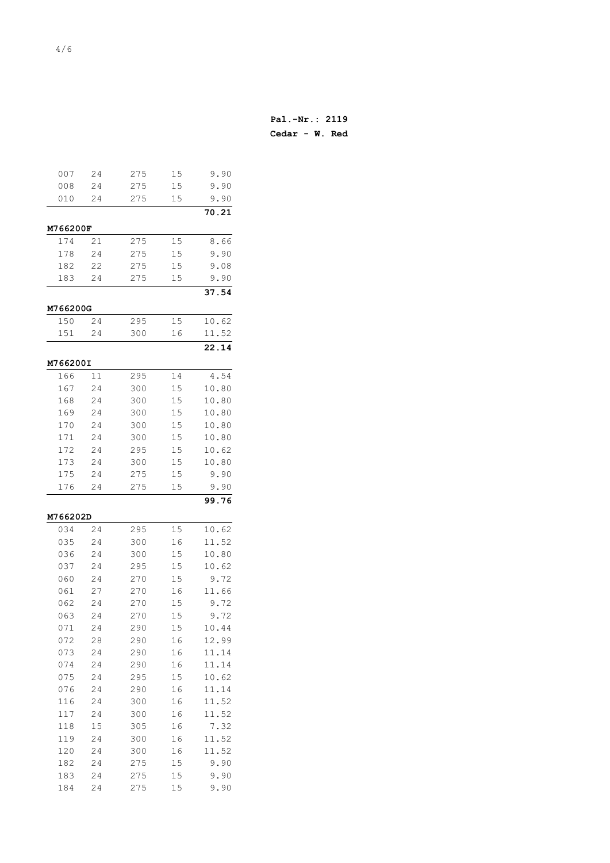| 007                    | 24 | 275 | 15 | 9.90  |
|------------------------|----|-----|----|-------|
| 008                    | 24 | 275 | 15 | 9.90  |
| 010                    | 24 | 275 | 15 | 9.90  |
|                        |    |     |    | 70.21 |
|                        |    |     |    |       |
| <b>M766200F</b><br>174 | 21 | 275 | 15 |       |
|                        |    |     |    | 8.66  |
| 178                    | 24 | 275 | 15 | 9.90  |
| 182                    | 22 | 275 | 15 | 9.08  |
| 183                    | 24 | 275 | 15 | 9.90  |
|                        |    |     |    | 37.54 |
| M766200G               |    |     |    |       |
| 150                    | 24 | 295 | 15 | 10.62 |
| 151                    | 24 | 300 | 16 | 11.52 |
|                        |    |     |    | 22.14 |
| M766200I               |    |     |    |       |
| 166                    | 11 | 295 | 14 | 4.54  |
| 167                    | 24 | 300 | 15 | 10.80 |
| 168                    | 24 | 300 | 15 | 10.80 |
| 169                    | 24 | 300 | 15 | 10.80 |
| 170                    | 24 | 300 | 15 | 10.80 |
| 171                    | 24 | 300 | 15 | 10.80 |
| 172                    | 24 | 295 | 15 | 10.62 |
| 173                    | 24 | 300 | 15 | 10.80 |
| 175                    | 24 | 275 | 15 | 9.90  |
| 176                    | 24 | 275 | 15 | 9.90  |
|                        |    |     |    | 99.76 |
| M766202D               |    |     |    |       |
| 034                    | 24 | 295 | 15 | 10.62 |
| 035                    | 24 | 300 | 16 | 11.52 |
| 036                    | 24 | 300 | 15 | 10.80 |
| 037                    | 24 | 295 | 15 | 10.62 |
| 060                    | 24 | 270 | 15 | 9.72  |
| 061                    | 27 | 270 | 16 | 11.66 |
| 062                    | 24 | 270 | 15 | 9.72  |
| 063                    | 24 | 270 | 15 | 9.72  |
| 071                    | 24 | 290 | 15 | 10.44 |
| 072                    | 28 | 290 | 16 | 12.99 |
| 073                    | 24 | 290 | 16 | 11.14 |
| 074                    | 24 | 290 | 16 | 11.14 |
| 075                    | 24 | 295 | 15 | 10.62 |
| 076                    | 24 | 290 | 16 | 11.14 |
| 116                    | 24 | 300 | 16 | 11.52 |
| 117                    | 24 | 300 | 16 | 11.52 |
| 118                    | 15 | 305 | 16 | 7.32  |
| 119                    | 24 | 300 | 16 | 11.52 |
| 120                    | 24 | 300 | 16 | 11.52 |
| 182                    | 24 | 275 | 15 | 9.90  |
| 183                    | 24 | 275 | 15 | 9.90  |
|                        |    |     |    | 9.90  |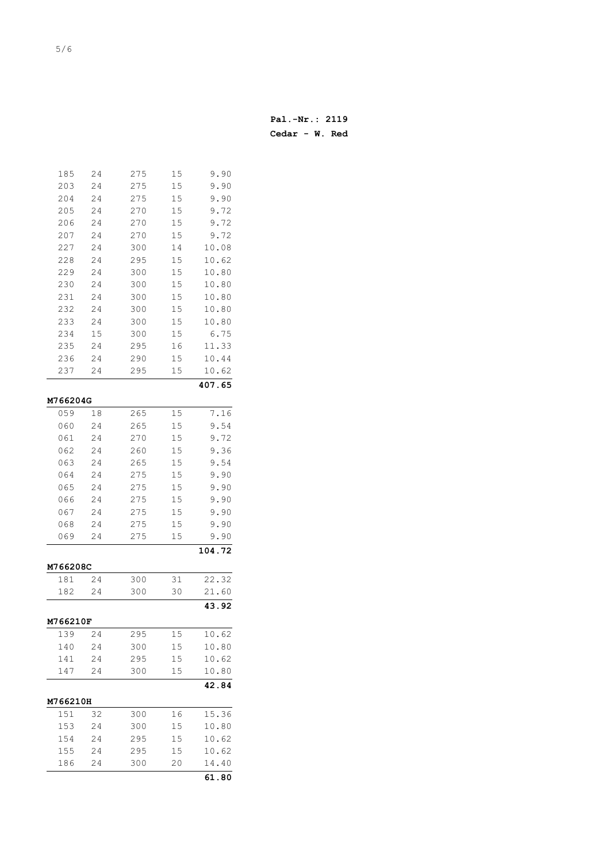| Pal.-Nr.: 2119   |  |  |
|------------------|--|--|
| $Cedar - W. Red$ |  |  |

| 185             | 24 | 275 | 15 | 9.90   |
|-----------------|----|-----|----|--------|
| 203             | 24 | 275 | 15 | 9.90   |
| 204             | 24 | 275 | 15 | 9.90   |
| 205             | 24 | 270 | 15 | 9.72   |
| 206             | 24 | 270 | 15 | 9.72   |
| 207             | 24 | 270 | 15 | 9.72   |
| 227             | 24 | 300 | 14 | 10.08  |
| 228             | 24 | 295 | 15 | 10.62  |
| 229             | 24 | 300 | 15 | 10.80  |
| 230             | 24 | 300 | 15 | 10.80  |
| 231             | 24 | 300 | 15 | 10.80  |
| 232             | 24 | 300 | 15 | 10.80  |
| 233             | 24 | 300 | 15 | 10.80  |
| 234             | 15 | 300 | 15 | 6.75   |
| 235             | 24 | 295 | 16 | 11.33  |
| 236             | 24 | 290 | 15 | 10.44  |
| 237             | 24 | 295 | 15 | 10.62  |
|                 |    |     |    | 407.65 |
| M766204G        |    |     |    |        |
| 059             | 18 | 265 | 15 | 7.16   |
| 060             | 24 | 265 | 15 | 9.54   |
| 061             | 24 | 270 | 15 | 9.72   |
| 062             | 24 | 260 | 15 | 9.36   |
| 063             | 24 | 265 | 15 | 9.54   |
| 064             | 24 | 275 | 15 | 9.90   |
| 065             | 24 | 275 | 15 | 9.90   |
| 066             | 24 | 275 | 15 | 9.90   |
| 067             | 24 | 275 | 15 | 9.90   |
| 068             | 24 | 275 | 15 | 9.90   |
| 069             | 24 | 275 | 15 | 9.90   |
|                 |    |     |    | 104.72 |
| M766208C        |    |     |    |        |
| 181             | 24 | 300 | 31 | 22.32  |
| 182             | 24 | 300 | 30 | 21.60  |
|                 |    |     |    | 43.92  |
| <b>M766210F</b> |    |     |    |        |
| 139             | 24 | 295 | 15 | 10.62  |
| 140             | 24 | 300 | 15 | 10.80  |
| 141             | 24 | 295 | 15 | 10.62  |
| 147             | 24 | 300 | 15 | 10.80  |
|                 |    |     |    | 42.84  |
| M766210H        |    |     |    |        |
| 151             | 32 | 300 | 16 | 15.36  |
| 153             | 24 | 300 | 15 | 10.80  |
| 154             | 24 | 295 | 15 | 10.62  |
| 155             | 24 | 295 | 15 | 10.62  |
| 186             | 24 | 300 | 20 | 14.40  |
|                 |    |     |    | 61.80  |